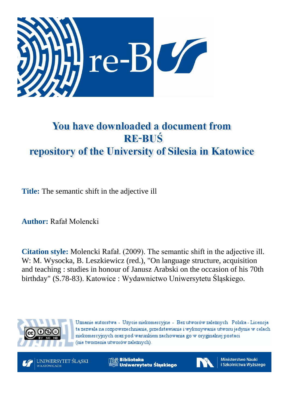

# You have downloaded a document from **RE-BUŚ** repository of the University of Silesia in Katowice

**Title:** The semantic shift in the adjective ill

**Author:** Rafał Molencki

**Citation style:** Molencki Rafał. (2009). The semantic shift in the adjective ill. W: M. Wysocka, B. Leszkiewicz (red.), "On language structure, acquisition and teaching : studies in honour of Janusz Arabski on the occasion of his 70th birthday" (S.78-83). Katowice : Wydawnictwo Uniwersytetu Śląskiego.



Uznanie autorstwa - Użycie niekomercyjne - Bez utworów zależnych Polska - Licencja ta zezwala na rozpowszechnianie, przedstawianie i wykonywanie utworu jedynie w celach niekomercyjnych oraz pod warunkiem zachowania go w oryginalnej postaci (nie tworzenia utworów zależnych).



**Biblioteka** Uniwersytetu Śląskiego



**Ministerstwo Nauki** i Szkolnictwa Wyższego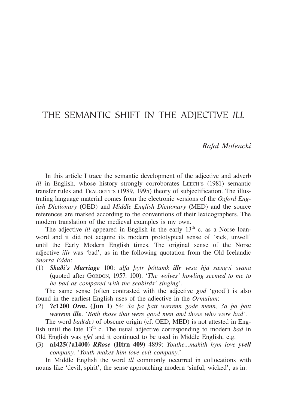## THE SEMANTIC SHIFT IN THE ADJECTIVE *ILL*

#### *Rafał Molencki*

In this article I trace the semantic development of the adjective and adverb *ill* in English, whose history strongly corroborates LEECH's (1981) semantic transfer rules and TRAUGOTT'S (1989, 1995) theory of subjectification. The illustrating language material comes from the electronic versions of the *Oxford English Dictionary* (OED) and *Middle English Dictionary* (MED) and the source references are marked according to the conventions of their lexicographers. The modern translation of the medieval examples is my own.

The adjective *ill* appeared in English in the early  $13<sup>th</sup>$  c. as a Norse loanword and it did not acquire its modern prototypical sense of 'sick, unwell' until the Early Modern English times. The original sense of the Norse adjective *illr* was 'bad', as in the following quotation from the Old Icelandic *Snorra Edda*:

(1) *Skaði's Marriage* 100: *ulfa þytr þóttumk illr vesa hjá sœngvi svana* (quoted after GORDON, 1957: 100). '*The wolves' howling seemed to me to be bad as compared with the seabirds' singing*'.

The same sense (often contrasted with the adjective *god* 'good') is also found in the earliest English uses of the adjective in the *Ormulum*:

(2) ?c1200 *Orm*. (Jun 1) 54: *3a þa þatt wærenn gode menn, 3a þa þatt wærenn ille*. '*Both those that were good men and those who were bad*'.

The word *bad(de)* of obscure origin (cf. OED, MED) is not attested in English until the late  $13<sup>th</sup>$  c. The usual adjective corresponding to modern *bad* in Old English was *yfel* and it continued to be used in Middle English, e.g.

(3) a1425(?a1400) *RRose* (Htrn 409) 4899: *Youthe...makith hym love yvell company*. '*Youth makes him love evil company*.'

In Middle English the word *ill* commonly occurred in collocations with nouns like 'devil, spirit', the sense approaching modern 'sinful, wicked', as in: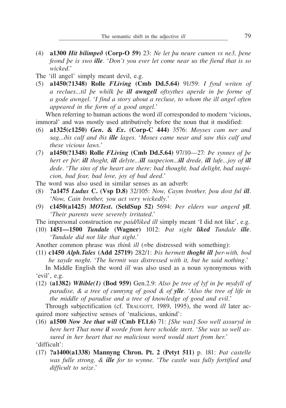- (4) a1300 *Hit bilimpeð* (Corp-O 59) 23: *Ne let þu neure cumen vs ne3, þene feond þe is swo ille*. '*Don't you ever let come near us the fiend that is so wicked*.'
- The 'ill angel' simply meant devil, e.g.
- (5) a1450(?1348) Rolle *FLiving* (Cmb Dd.5.64) 91/59: *I fynd writen of a reclues...til þe whilk þe ill awngell oftsythes aperde in þe forme of a gode awngel*. '*I find a story about a recluse, to whom the ill angel often appeared in the form of a good angel*.'

When referring to human actions the word *ill* corresponded to modern 'vicious, immoral' and was mostly used attributively before the noun that it modified:

- (6) a1325(c1250) *Gen*. & *Ex*. (Corp-C 444) 3576: *Moyses cam ner and sag...ðis calf and ðis ille lages*. '*Moses came near and saw this calf and these vicious laws*.'
- (7) a1450(?1348) Rolle *FLiving* (Cmb Dd.5.64) 97/10—27: *Þe synnes of þe hert er þir*: *ill thoght, ill delyte...ill suspecion...ill drede, ill lufe...joy of ill dede*. '*The sins of the heart are there: bad thought, bad delight, bad suspicion, bad fear, bad love, joy of bad deed*.'
- The word was also used in similar senses as an adverb:
- (8) ?a1475 *Ludus* C. (Vsp D.8) 32/105: *Now, Caym brother, þou dost ful ill*. '*Now, Cain brother, you act very wickedly*.'
- (9) c1450(a1425) *MOTest*. (SeldSup 52) 5694: *Þer elders war angerd yll*. '*Their parents were severely irritated*.'
- The impersonal construction *me paid/liked ill* simply meant 'I did not like', e.g.
- (10) 1451—1500 *Tundale* (Wagner) 1012: *Þat sight liked Tundale ille*. '*Tundale did not like that sight*.'

Another common phrase was *think ill* (=be distressed with something):

(11) c1450 *Alph.Tales* (Add 25719) 282/1: *Þis hermett thoght ill þer-with, bod he sayde noght*. '*The hermit was distressed with it, but he said nothing*.'

In Middle English the word *ill* was also used as a noun synonymous with 'evil', e.g.

(12) (a1382) *WBible(1)* (Bod 959) Gen.2.9: *Also þe tree of lyf in þe mydyll of paradise, & a tree of cunnyng of good & of ylle*. '*Also the tree of life in the middle of paradise and a tree of knowledge of good and evil*.'

Through subjectification (cf. TRAUGOTT, 1989, 1995), the word *ill* later acquired more subjective senses of 'malicious, unkind':

(16) a1500 *Now 3ee that will* (Cmb Ff.1.6) 71: *[She was] Soo well assuryd in here hert That none il worde from here scholde stert*. '*She was so well assured in her heart that no malicious word would start from her*.' 'difficult':

(17) ?a1400(a1338) Mannyng Chron. Pt. 2 (Petyt 511) p. 181: *Þat castelle was fulle strong, & ille for to wynne*. '*The castle was fully fortified and difficult to seize*.'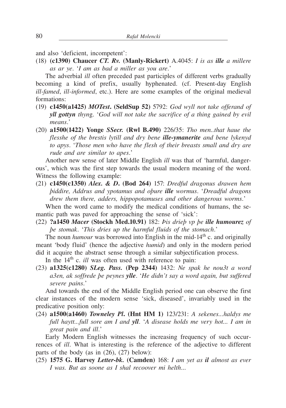and also 'deficient, incompetent':

(18) (c1390) Chaucer *CT. Rv.* (Manly-Rickert) A.4045: *I is as ille a millere as ar ye*. '*I am as bad a miller as you are*.'

The adverbial *ill* often preceded past participles of different verbs gradually becoming a kind of prefix, usually hyphenated. (cf. Present-day English *ill-famed*, *ill-informed*, etc.). Here are some examples of the original medieval formations:

- (19) c1450(a1425) *MOTest*. (SeldSup 52) 5792: *God wyll not take offerand of yll gottyn thyn*g. '*God will not take the sacrifice of a thing gained by evil means*.'
- (20) a1500(1422) Yonge *SSecr.* (Rwl B.490) 226/35: *Tho men..that haue the flesshe of the brestis lytill and dry bene ille-ymanerite and bene lykenyd to apys*. '*Those men who have the flesh of their breasts small and dry are rude and are similar to apes*.'

Another new sense of later Middle English *ill* was that of 'harmful, dangerous', which was the first step towards the usual modern meaning of the word. Witness the following example:

(21) c1450(c1350) *Alex. & D*. (Bod 264) 157: *Dredful dragonus drawen hem þiddire, Addrus and ypotamus and oþure ille wormus*. '*Dreadful dragons drew them there, adders, hippopotamuses and other dangerous worms*.'

When the word came to modify the medical conditions of humans, the semantic path was paved for approaching the sense of 'sick':

(22) ?a1450 *Macer* (Stockh Med.10.91) 182: *Þis drieþ vp þe ille humourez of þe stomak*. '*This dries up the harmful fluids of the stomach*.'

The noun *humour* was borrowed into English in the mid-14<sup>th</sup> c. and originally meant 'body fluid' (hence the adjective *humid*) and only in the modern period did it acquire the abstract sense through a similar subjectification process.

In the 14<sup>th</sup> c. *ill* was often used with reference to pain:

(23) a1325(c1280) *SLeg. Pass.* (Pep 2344) 1432: *Ne spak he nou3t a word a3en, ak soffrede þe peynes ylle*. '*He didn't say a word again, but suffered severe pains*.'

And towards the end of the Middle English period one can observe the first clear instances of the modern sense 'sick, diseased', invariably used in the predicative position only:

(24) a1500(a1460) *Towneley Pl*. (Hnt HM 1) 123/231: *A sekenes...haldys me full haytt...full sore am I and yll*. '*A disease holds me very hot... I am in great pain and ill*.'

Early Modern English witnesses the increasing frequency of such occurrences of *ill*. What is interesting is the reference of the adjective to different parts of the body (as in (26), (27) below):

(25) 1575 G. Harvey *Letter-bk.* (Camden) 168: *I am yet as il almost as ever I was. But as soone as I shal recoover mi helth*...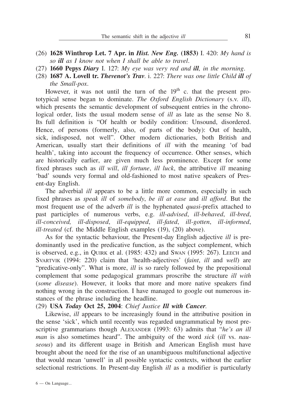- (26) 1628 Winthrop Let. 7 Apr. in *Hist. New Eng.* (1853) I. 420: *My hand is so ill as I know not when I shall be able to travel*.
- (27) 1660 Pepys *Diary* I. 127: *My eye was very red and ill, in the morning*.
- (28) 1687 A. Lovell tr. *Thevenot's Trav*. i. 227: *There was one little Child ill of the Small-pox*.

However, it was not until the turn of the  $19<sup>th</sup>$  c. that the present prototypical sense began to dominate. *The Oxford English Dictionary* (s.v. *ill*), which presents the semantic development of subsequent entries in the chronological order, lists the usual modern sense of *ill* as late as the sense No 8. Its full definition is "Of health or bodily condition: Unsound, disordered. Hence, of persons (formerly, also, of parts of the body): Out of health, sick, indisposed, not well". Other modern dictionaries, both British and American, usually start their definitions of *ill* with the meaning 'of bad health', taking into account the frequency of occurrence. Other senses, which are historically earlier, are given much less prominence. Except for some fixed phrases such as *ill will*, *ill fortune*, *ill luck*, the attributive *ill* meaning 'bad' sounds very formal and old-fashioned to most native speakers of Present-day English.

The adverbial *ill* appears to be a little more common, especially in such fixed phrases as *speak ill* of *somebody*, *be ill at ease* and *ill afford*. But the most frequent use of the adverb *ill* is the hyphenated *quasi*-prefix attached to past participles of numerous verbs, e.g. *ill-advised*, *ill-behaved*, *ill-bred*, *ill-conceived, ill-disposed*, *ill-equipped*, *ill-fated*, *ill-gotten*, *ill-informed*, *ill-treated* (cf. the Middle English examples (19), (20) above).

As for the syntactic behaviour, the Present-day English adjective *ill* is predominantly used in the predicative function, as the subject complement, which is observed, e.g., in QUIRK et al. (1985: 432) and SWAN (1995: 267). LEECH and SVARTVIK (1994: 220) claim that 'health-adjectives' (*faint*, *ill* and *well*) are "predicative-only". What is more, *ill* is so rarely followed by the prepositional complement that some pedagogical grammars proscribe the structure *ill with* (*some disease*). However, it looks that more and more native speakers find nothing wrong in the construction. I have managed to google out numerous instances of the phrase including the headline.

#### (29) USA *Today* Oct 25, 2004: *Chief Justice Ill with Cancer*.

Likewise, *ill* appears to be increasingly found in the attributive position in the sense 'sick', which until recently was regarded ungrammatical by most prescriptive grammarians though ALEXANDER (1993: 63) admits that "*he's an ill man* is also sometimes heard". The ambiguity of the word *sick* (*ill* vs. *nauseous*) and its different usage in British and American English must have brought about the need for the rise of an unambiguous multifunctional adjective that would mean 'unwell' in all possible syntactic contexts, without the earlier selectional restrictions. In Present-day English *ill* as a modifier is particularly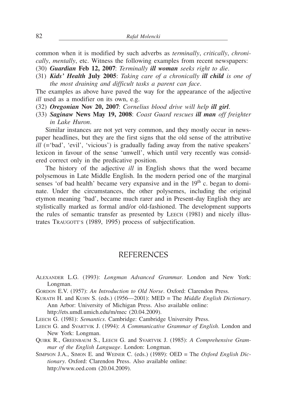common when it is modified by such adverbs as *terminally*, *critically*, *chronically*, *mentally*, etc. Witness the following examples from recent newspapers:

- (30) *Guardian* Feb 12, 2007: *Terminally ill woman seeks right to die*.
- (31) *Kids' Health* July 2005: *Taking care of a chronically ill child is one of the most draining and difficult tasks a parent can face*.

The examples as above have paved the way for the appearance of the adjective *ill* used as a modifier on its own, e.g.

- (32) *Oregonian* Nov 20, 2007: *Cornelius blood drive will help ill girl*.
- (33) *Saginaw* News May 19, 2008: *Coast Guard rescues ill man off freighter in Lake Huron*.

Similar instances are not yet very common, and they mostly occur in newspaper headlines, but they are the first signs that the old sense of the attributive *ill* (='bad', 'evil', 'vicious') is gradually fading away from the native speakers' lexicon in favour of the sense 'unwell', which until very recently was considered correct only in the predicative position.

The history of the adjective *ill* in English shows that the word became polysemous in Late Middle English. In the modern period one of the marginal senses 'of bad health' became very expansive and in the  $19<sup>th</sup>$  c. began to dominate. Under the circumstances, the other polysemes, including the original etymon meaning 'bad', became much rarer and in Present-day English they are stylistically marked as formal and/or old-fashioned. The development supports the rules of semantic transfer as presented by LEECH (1981) and nicely illustrates TRAUGOTT'S (1989, 1995) process of subjectification.

### REFERENCES

- ALEXANDER L.G. (1993): *Longman Advanced Grammar*. London and New York: Longman.
- GORDON E.V. (1957): *An Introduction to Old Norse*. Oxford: Clarendon Press.
- KURATH H. and KUHN S. (eds.) (1956—2001): MED = The *Middle English Dictionary*. Ann Arbor: University of Michigan Press. Also available online: http://ets.umdl.umich.edu/m/mec (20.04.2009).

- LEECH G. (1981): *Semantics*. Cambridge: Cambridge University Press.
- LEECH G. and SVARTVIK J. (1994): *A Communicative Grammar of English*. London and New York: Longman.
- QUIRK R., GREENBAUM S., LEECH G. and SVARTVIK J. (1985): *A Comprehensive Grammar of the English Language*. London: Longman.
- SIMPSON J.A., SIMON E. and WEINER C. (eds.) (1989): OED = The *Oxford English Dictionary*. Oxford: Clarendon Press. Also available online: http://www.oed.com (20.04.2009).